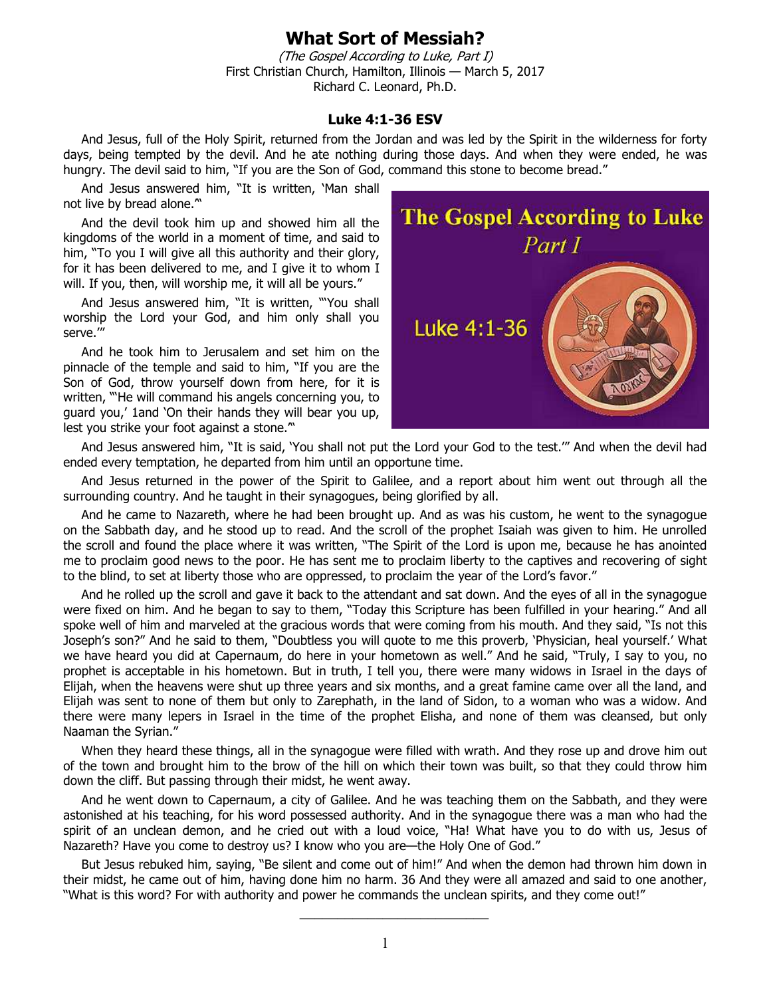## **What Sort of Messiah?**

(The Gospel According to Luke, Part I) First Christian Church, Hamilton, Illinois — March 5, 2017 Richard C. Leonard, Ph.D.

## **Luke 4:1-36 ESV**

And Jesus, full of the Holy Spirit, returned from the Jordan and was led by the Spirit in the wilderness for forty days, being tempted by the devil. And he ate nothing during those days. And when they were ended, he was hungry. The devil said to him, "If you are the Son of God, command this stone to become bread."

And Jesus answered him, "It is written, 'Man shall not live by bread alone.'"

And the devil took him up and showed him all the kingdoms of the world in a moment of time, and said to him, "To you I will give all this authority and their glory, for it has been delivered to me, and I give it to whom I will. If you, then, will worship me, it will all be yours."

And Jesus answered him, "It is written, "'You shall worship the Lord your God, and him only shall you serve.'"

And he took him to Jerusalem and set him on the pinnacle of the temple and said to him, "If you are the Son of God, throw yourself down from here, for it is written, "'He will command his angels concerning you, to guard you,' 1and 'On their hands they will bear you up, lest you strike your foot against a stone."



And Jesus answered him, "It is said, 'You shall not put the Lord your God to the test.'" And when the devil had ended every temptation, he departed from him until an opportune time.

And Jesus returned in the power of the Spirit to Galilee, and a report about him went out through all the surrounding country. And he taught in their synagogues, being glorified by all.

And he came to Nazareth, where he had been brought up. And as was his custom, he went to the synagogue on the Sabbath day, and he stood up to read. And the scroll of the prophet Isaiah was given to him. He unrolled the scroll and found the place where it was written, "The Spirit of the Lord is upon me, because he has anointed me to proclaim good news to the poor. He has sent me to proclaim liberty to the captives and recovering of sight to the blind, to set at liberty those who are oppressed, to proclaim the year of the Lord's favor."

And he rolled up the scroll and gave it back to the attendant and sat down. And the eyes of all in the synagogue were fixed on him. And he began to say to them, "Today this Scripture has been fulfilled in your hearing." And all spoke well of him and marveled at the gracious words that were coming from his mouth. And they said, "Is not this Joseph's son?" And he said to them, "Doubtless you will quote to me this proverb, 'Physician, heal yourself.' What we have heard you did at Capernaum, do here in your hometown as well." And he said, "Truly, I say to you, no prophet is acceptable in his hometown. But in truth, I tell you, there were many widows in Israel in the days of Elijah, when the heavens were shut up three years and six months, and a great famine came over all the land, and Elijah was sent to none of them but only to Zarephath, in the land of Sidon, to a woman who was a widow. And there were many lepers in Israel in the time of the prophet Elisha, and none of them was cleansed, but only Naaman the Syrian."

When they heard these things, all in the synagogue were filled with wrath. And they rose up and drove him out of the town and brought him to the brow of the hill on which their town was built, so that they could throw him down the cliff. But passing through their midst, he went away.

And he went down to Capernaum, a city of Galilee. And he was teaching them on the Sabbath, and they were astonished at his teaching, for his word possessed authority. And in the synagogue there was a man who had the spirit of an unclean demon, and he cried out with a loud voice, "Ha! What have you to do with us, Jesus of Nazareth? Have you come to destroy us? I know who you are—the Holy One of God."

But Jesus rebuked him, saying, "Be silent and come out of him!" And when the demon had thrown him down in their midst, he came out of him, having done him no harm. 36 And they were all amazed and said to one another, "What is this word? For with authority and power he commands the unclean spirits, and they come out!"

\_\_\_\_\_\_\_\_\_\_\_\_\_\_\_\_\_\_\_\_\_\_\_\_\_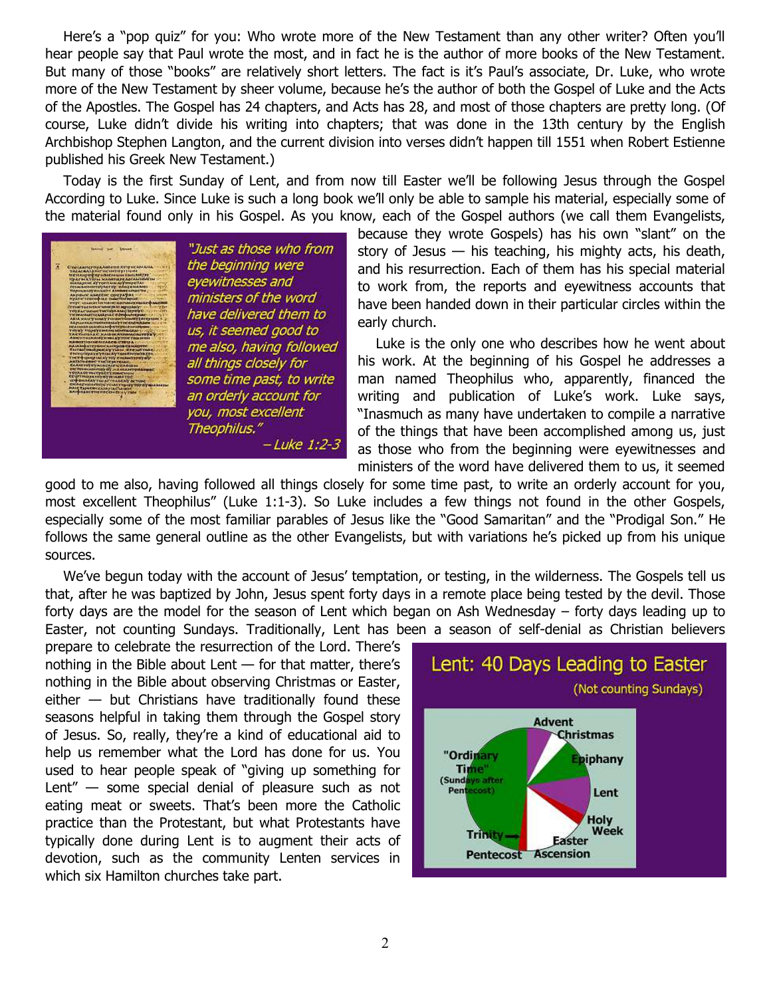Here's a "pop quiz" for you: Who wrote more of the New Testament than any other writer? Often you'll hear people say that Paul wrote the most, and in fact he is the author of more books of the New Testament. But many of those "books" are relatively short letters. The fact is it's Paul's associate, Dr. Luke, who wrote more of the New Testament by sheer volume, because he's the author of both the Gospel of Luke and the Acts of the Apostles. The Gospel has 24 chapters, and Acts has 28, and most of those chapters are pretty long. (Of course, Luke didn't divide his writing into chapters; that was done in the 13th century by the English Archbishop Stephen Langton, and the current division into verses didn't happen till 1551 when Robert Estienne published his Greek New Testament.)

Today is the first Sunday of Lent, and from now till Easter we'll be following Jesus through the Gospel According to Luke. Since Luke is such a long book we'll only be able to sample his material, especially some of the material found only in his Gospel. As you know, each of the Gospel authors (we call them Evangelists,



because they wrote Gospels) has his own "slant" on the story of Jesus  $-$  his teaching, his mighty acts, his death, and his resurrection. Each of them has his special material to work from, the reports and eyewitness accounts that have been handed down in their particular circles within the early church.

Luke is the only one who describes how he went about his work. At the beginning of his Gospel he addresses a man named Theophilus who, apparently, financed the writing and publication of Luke's work. Luke says, "Inasmuch as many have undertaken to compile a narrative of the things that have been accomplished among us, just as those who from the beginning were eyewitnesses and ministers of the word have delivered them to us, it seemed

good to me also, having followed all things closely for some time past, to write an orderly account for you, most excellent Theophilus" (Luke 1:1-3). So Luke includes a few things not found in the other Gospels, especially some of the most familiar parables of Jesus like the "Good Samaritan" and the "Prodigal Son." He follows the same general outline as the other Evangelists, but with variations he's picked up from his unique sources.

We've begun today with the account of Jesus' temptation, or testing, in the wilderness. The Gospels tell us that, after he was baptized by John, Jesus spent forty days in a remote place being tested by the devil. Those forty days are the model for the season of Lent which began on Ash Wednesday – forty days leading up to Easter, not counting Sundays. Traditionally, Lent has been a season of self-denial as Christian believers

prepare to celebrate the resurrection of the Lord. There's nothing in the Bible about Lent — for that matter, there's nothing in the Bible about observing Christmas or Easter, either — but Christians have traditionally found these seasons helpful in taking them through the Gospel story of Jesus. So, really, they're a kind of educational aid to help us remember what the Lord has done for us. You used to hear people speak of "giving up something for Lent" — some special denial of pleasure such as not eating meat or sweets. That's been more the Catholic practice than the Protestant, but what Protestants have typically done during Lent is to augment their acts of devotion, such as the community Lenten services in which six Hamilton churches take part.

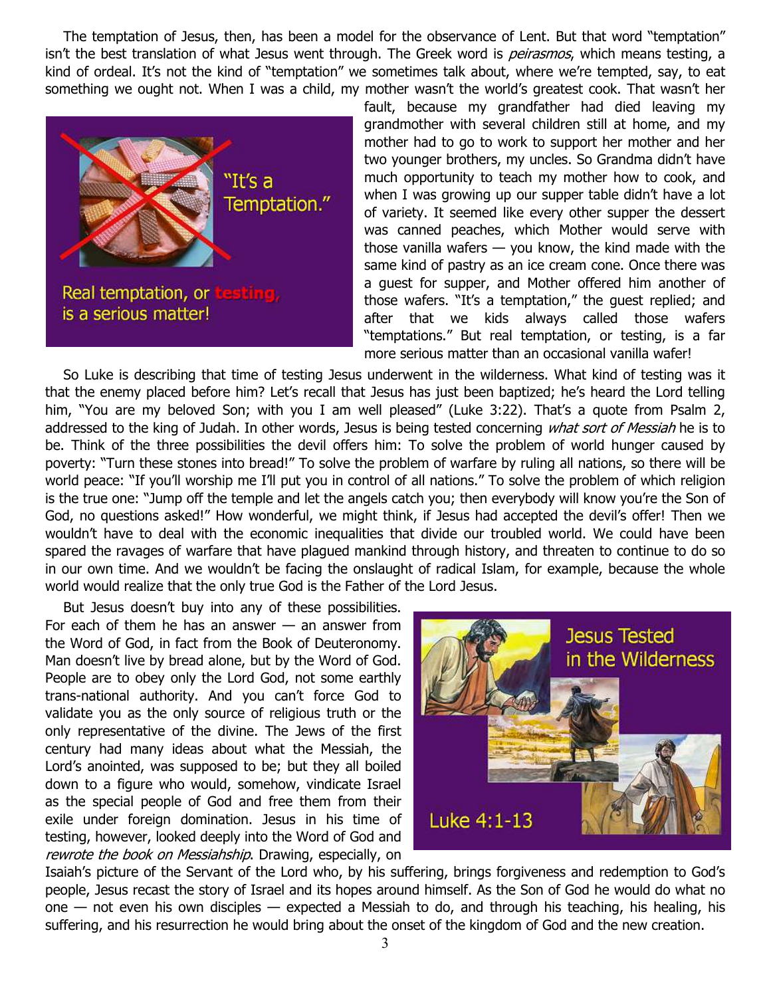The temptation of Jesus, then, has been a model for the observance of Lent. But that word "temptation" isn't the best translation of what Jesus went through. The Greek word is *peirasmos*, which means testing, a kind of ordeal. It's not the kind of "temptation" we sometimes talk about, where we're tempted, say, to eat something we ought not. When I was a child, my mother wasn't the world's greatest cook. That wasn't her



fault, because my grandfather had died leaving my grandmother with several children still at home, and my mother had to go to work to support her mother and her two younger brothers, my uncles. So Grandma didn't have much opportunity to teach my mother how to cook, and when I was growing up our supper table didn't have a lot of variety. It seemed like every other supper the dessert was canned peaches, which Mother would serve with those vanilla wafers  $-$  you know, the kind made with the same kind of pastry as an ice cream cone. Once there was a guest for supper, and Mother offered him another of those wafers. "It's a temptation," the guest replied; and after that we kids always called those wafers "temptations." But real temptation, or testing, is a far more serious matter than an occasional vanilla wafer!

So Luke is describing that time of testing Jesus underwent in the wilderness. What kind of testing was it that the enemy placed before him? Let's recall that Jesus has just been baptized; he's heard the Lord telling him, "You are my beloved Son; with you I am well pleased" (Luke 3:22). That's a quote from Psalm 2, addressed to the king of Judah. In other words, Jesus is being tested concerning *what sort of Messiah* he is to be. Think of the three possibilities the devil offers him: To solve the problem of world hunger caused by poverty: "Turn these stones into bread!" To solve the problem of warfare by ruling all nations, so there will be world peace: "If you'll worship me I'll put you in control of all nations." To solve the problem of which religion is the true one: "Jump off the temple and let the angels catch you; then everybody will know you're the Son of God, no questions asked!" How wonderful, we might think, if Jesus had accepted the devil's offer! Then we wouldn't have to deal with the economic inequalities that divide our troubled world. We could have been spared the ravages of warfare that have plagued mankind through history, and threaten to continue to do so in our own time. And we wouldn't be facing the onslaught of radical Islam, for example, because the whole world would realize that the only true God is the Father of the Lord Jesus.

But Jesus doesn't buy into any of these possibilities. For each of them he has an answer  $-$  an answer from the Word of God, in fact from the Book of Deuteronomy. Man doesn't live by bread alone, but by the Word of God. People are to obey only the Lord God, not some earthly trans-national authority. And you can't force God to validate you as the only source of religious truth or the only representative of the divine. The Jews of the first century had many ideas about what the Messiah, the Lord's anointed, was supposed to be; but they all boiled down to a figure who would, somehow, vindicate Israel as the special people of God and free them from their exile under foreign domination. Jesus in his time of testing, however, looked deeply into the Word of God and rewrote the book on Messiahship. Drawing, especially, on



Isaiah's picture of the Servant of the Lord who, by his suffering, brings forgiveness and redemption to God's people, Jesus recast the story of Israel and its hopes around himself. As the Son of God he would do what no one — not even his own disciples — expected a Messiah to do, and through his teaching, his healing, his suffering, and his resurrection he would bring about the onset of the kingdom of God and the new creation.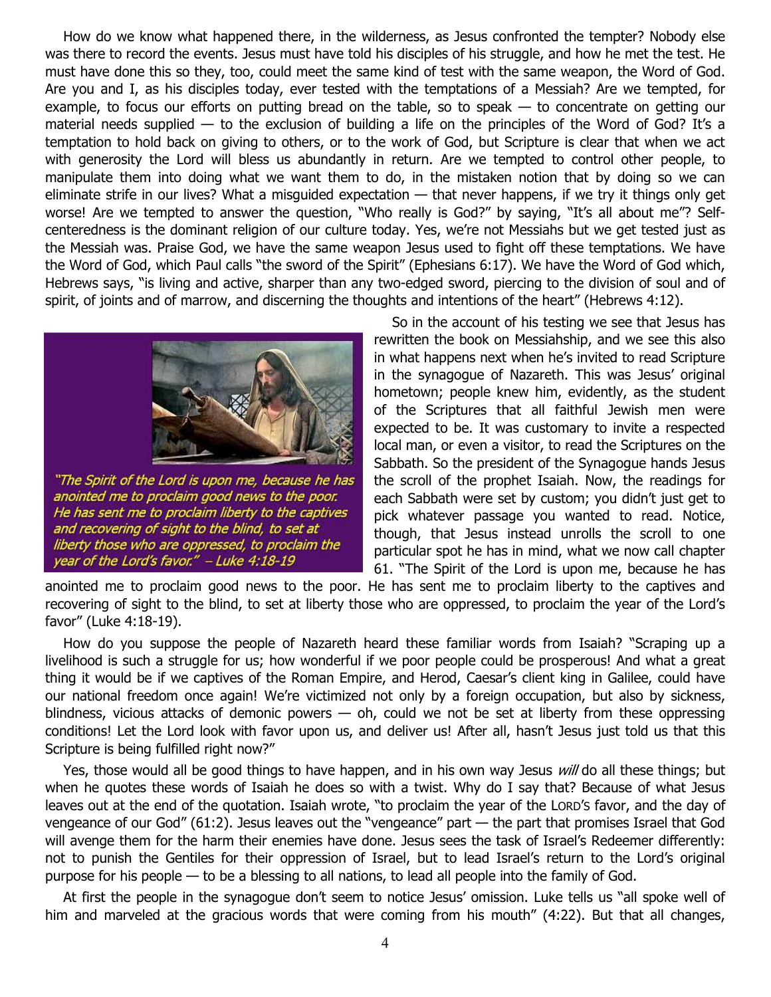How do we know what happened there, in the wilderness, as Jesus confronted the tempter? Nobody else was there to record the events. Jesus must have told his disciples of his struggle, and how he met the test. He must have done this so they, too, could meet the same kind of test with the same weapon, the Word of God. Are you and I, as his disciples today, ever tested with the temptations of a Messiah? Are we tempted, for example, to focus our efforts on putting bread on the table, so to speak — to concentrate on getting our material needs supplied — to the exclusion of building a life on the principles of the Word of God? It's a temptation to hold back on giving to others, or to the work of God, but Scripture is clear that when we act with generosity the Lord will bless us abundantly in return. Are we tempted to control other people, to manipulate them into doing what we want them to do, in the mistaken notion that by doing so we can eliminate strife in our lives? What a misguided expectation — that never happens, if we try it things only get worse! Are we tempted to answer the question, "Who really is God?" by saying, "It's all about me"? Selfcenteredness is the dominant religion of our culture today. Yes, we're not Messiahs but we get tested just as the Messiah was. Praise God, we have the same weapon Jesus used to fight off these temptations. We have the Word of God, which Paul calls "the sword of the Spirit" (Ephesians 6:17). We have the Word of God which, Hebrews says, "is living and active, sharper than any two-edged sword, piercing to the division of soul and of spirit, of joints and of marrow, and discerning the thoughts and intentions of the heart" (Hebrews 4:12).



"The Spirit of the Lord is upon me, because he has anointed me to proclaim good news to the poor. He has sent me to proclaim liberty to the captives and recovering of sight to the blind, to set at liberty those who are oppressed, to proclaim the year of the Lord's favor." - Luke 4:18-19

So in the account of his testing we see that Jesus has rewritten the book on Messiahship, and we see this also in what happens next when he's invited to read Scripture in the synagogue of Nazareth. This was Jesus' original hometown; people knew him, evidently, as the student of the Scriptures that all faithful Jewish men were expected to be. It was customary to invite a respected local man, or even a visitor, to read the Scriptures on the Sabbath. So the president of the Synagogue hands Jesus the scroll of the prophet Isaiah. Now, the readings for each Sabbath were set by custom; you didn't just get to pick whatever passage you wanted to read. Notice, though, that Jesus instead unrolls the scroll to one particular spot he has in mind, what we now call chapter 61. "The Spirit of the Lord is upon me, because he has

anointed me to proclaim good news to the poor. He has sent me to proclaim liberty to the captives and recovering of sight to the blind, to set at liberty those who are oppressed, to proclaim the year of the Lord's favor" (Luke 4:18-19).

How do you suppose the people of Nazareth heard these familiar words from Isaiah? "Scraping up a livelihood is such a struggle for us; how wonderful if we poor people could be prosperous! And what a great thing it would be if we captives of the Roman Empire, and Herod, Caesar's client king in Galilee, could have our national freedom once again! We're victimized not only by a foreign occupation, but also by sickness, blindness, vicious attacks of demonic powers  $-$  oh, could we not be set at liberty from these oppressing conditions! Let the Lord look with favor upon us, and deliver us! After all, hasn't Jesus just told us that this Scripture is being fulfilled right now?"

Yes, those would all be good things to have happen, and in his own way Jesus will do all these things; but when he quotes these words of Isaiah he does so with a twist. Why do I say that? Because of what Jesus leaves out at the end of the quotation. Isaiah wrote, "to proclaim the year of the LORD'S favor, and the day of vengeance of our God" (61:2). Jesus leaves out the "vengeance" part — the part that promises Israel that God will avenge them for the harm their enemies have done. Jesus sees the task of Israel's Redeemer differently: not to punish the Gentiles for their oppression of Israel, but to lead Israel's return to the Lord's original purpose for his people — to be a blessing to all nations, to lead all people into the family of God.

At first the people in the synagogue don't seem to notice Jesus' omission. Luke tells us "all spoke well of him and marveled at the gracious words that were coming from his mouth" (4:22). But that all changes,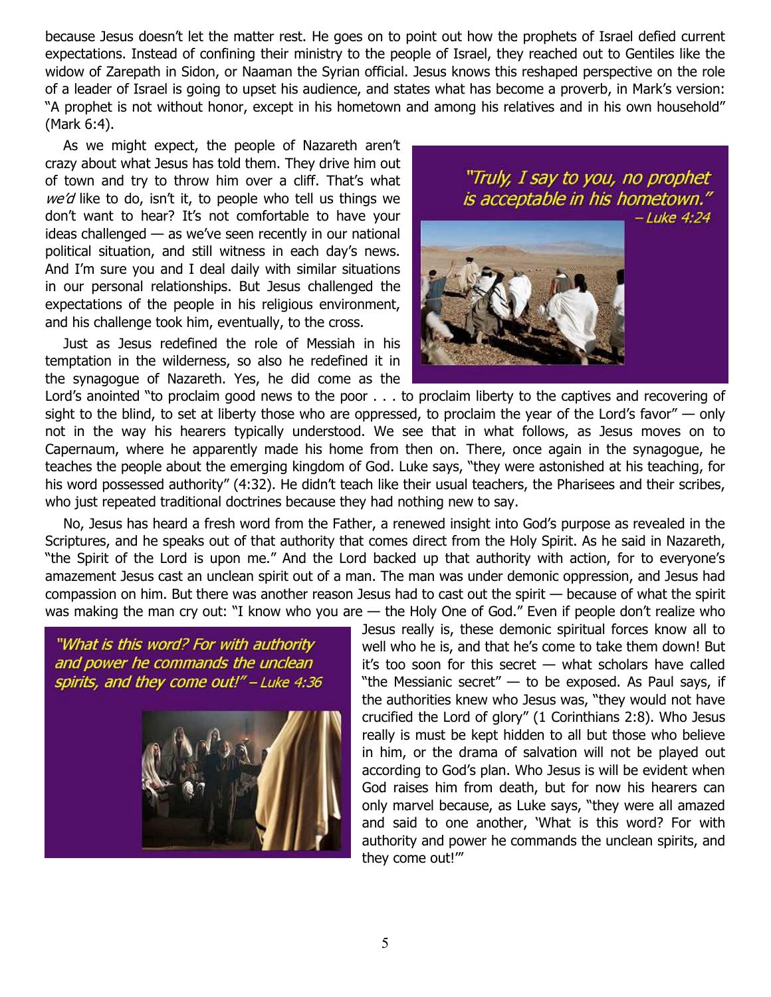because Jesus doesn't let the matter rest. He goes on to point out how the prophets of Israel defied current expectations. Instead of confining their ministry to the people of Israel, they reached out to Gentiles like the widow of Zarepath in Sidon, or Naaman the Syrian official. Jesus knows this reshaped perspective on the role of a leader of Israel is going to upset his audience, and states what has become a proverb, in Mark's version: "A prophet is not without honor, except in his hometown and among his relatives and in his own household" (Mark 6:4).

As we might expect, the people of Nazareth aren't crazy about what Jesus has told them. They drive him out of town and try to throw him over a cliff. That's what  $we'd$  like to do, isn't it, to people who tell us things we don't want to hear? It's not comfortable to have your ideas challenged — as we've seen recently in our national political situation, and still witness in each day's news. And I'm sure you and I deal daily with similar situations in our personal relationships. But Jesus challenged the expectations of the people in his religious environment, and his challenge took him, eventually, to the cross.

Just as Jesus redefined the role of Messiah in his temptation in the wilderness, so also he redefined it in the synagogue of Nazareth. Yes, he did come as the

"Truly, I say to you, no prophet is acceptable in his hometown."  $-Luke 4:24$ 



Lord's anointed "to proclaim good news to the poor . . . to proclaim liberty to the captives and recovering of sight to the blind, to set at liberty those who are oppressed, to proclaim the year of the Lord's favor" — only not in the way his hearers typically understood. We see that in what follows, as Jesus moves on to Capernaum, where he apparently made his home from then on. There, once again in the synagogue, he teaches the people about the emerging kingdom of God. Luke says, "they were astonished at his teaching, for his word possessed authority" (4:32). He didn't teach like their usual teachers, the Pharisees and their scribes, who just repeated traditional doctrines because they had nothing new to say.

No, Jesus has heard a fresh word from the Father, a renewed insight into God's purpose as revealed in the Scriptures, and he speaks out of that authority that comes direct from the Holy Spirit. As he said in Nazareth, "the Spirit of the Lord is upon me." And the Lord backed up that authority with action, for to everyone's amazement Jesus cast an unclean spirit out of a man. The man was under demonic oppression, and Jesus had compassion on him. But there was another reason Jesus had to cast out the spirit — because of what the spirit was making the man cry out: "I know who you are — the Holy One of God." Even if people don't realize who

"What is this word? For with authority and power he commands the unclean spirits, and they come out!" - Luke 4:36



Jesus really is, these demonic spiritual forces know all to well who he is, and that he's come to take them down! But it's too soon for this secret — what scholars have called "the Messianic secret"  $-$  to be exposed. As Paul says, if the authorities knew who Jesus was, "they would not have crucified the Lord of glory" (1 Corinthians 2:8). Who Jesus really is must be kept hidden to all but those who believe in him, or the drama of salvation will not be played out according to God's plan. Who Jesus is will be evident when God raises him from death, but for now his hearers can only marvel because, as Luke says, "they were all amazed and said to one another, 'What is this word? For with authority and power he commands the unclean spirits, and they come out!'"